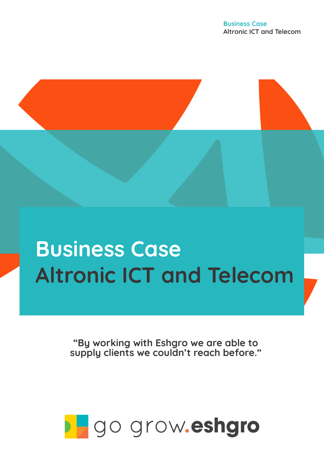# **Business Case Altronic ICT and Telecom**

**"By working with Eshgro we are able to supply clients we couldn't reach before."**

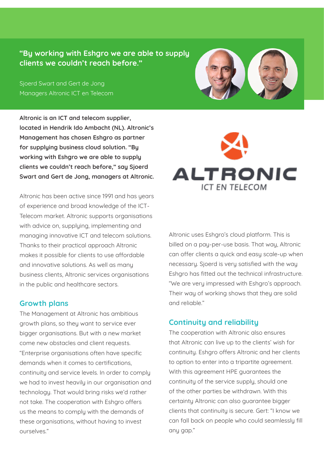**"By working with Eshgro we are able to supply clients we couldn't reach before."**

Sjoerd Swart and Gert de Jong Managers Altronic ICT en Telecom



**Altronic is an ICT and telecom supplier, located in Hendrik Ido Ambacht (NL). Altronic's Management has chosen Eshgro as partner for supplying business cloud solution. "By working with Eshgro we are able to supply clients we couldn't reach before," say Sjoerd Swart and Gert de Jong, managers at Altronic.**

Altronic has been active since 1991 and has years of experience and broad knowledge of the ICT-Telecom market. Altronic supports organisations with advice on, supplying, implementing and managing innovative ICT and telecom solutions. Thanks to their practical approach Altronic makes it possible for clients to use affordable and innovative solutions. As well as many business clients, Altronic services organisations in the public and healthcare sectors.

#### **Growth plans**

The Management at Altronic has ambitious growth plans, so they want to service ever bigger organisations. But with a new market come new obstacles and client requests. "Enterprise organisations often have specific demands when it comes to certifications, continuity and service levels. In order to comply we had to invest heavily in our organisation and technology. That would bring risks we'd rather not take. The cooperation with Eshgro offers us the means to comply with the demands of these organisations, without having to invest ourselves."



Altronic uses Eshgro's cloud platform. This is billed on a pay-per-use basis. That way, Altronic can offer clients a quick and easy scale-up when necessary. Sjoerd is very satisfied with the way Eshgro has fitted out the technical infrastructure. "We are very impressed with Eshgro's approach. Their way of working shows that they are solid and reliable."

## **Continuity and reliability**

The cooperation with Altronic also ensures that Altronic can live up to the clients' wish for continuity. Eshgro offers Altronic and her clients to option to enter into a tripartite agreement. With this agreement HPE guarantees the continuity of the service supply, should one of the other parties be withdrawn. With this certainty Altronic can also guarantee bigger clients that continuity is secure. Gert: "I know we can fall back on people who could seamlessly fill any gap."